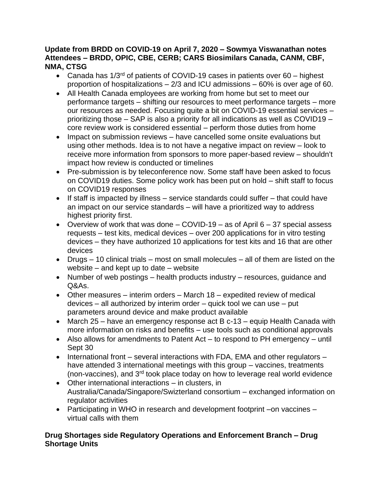#### **Update from BRDD on COVID-19 on April 7, 2020 – Sowmya Viswanathan notes Attendees – BRDD, OPIC, CBE, CERB; CARS Biosimilars Canada, CANM, CBF, NMA, CTSG**

- Canada has 1/3<sup>rd</sup> of patients of COVID-19 cases in patients over 60 highest proportion of hospitalizations – 2/3 and ICU admissions – 60% is over age of 60.
- All Health Canada employees are working from home but set to meet our performance targets – shifting our resources to meet performance targets – more our resources as needed. Focusing quite a bit on COVID-19 essential services – prioritizing those – SAP is also a priority for all indications as well as COVID19 – core review work is considered essential – perform those duties from home
- Impact on submission reviews have cancelled some onsite evaluations but using other methods. Idea is to not have a negative impact on review – look to receive more information from sponsors to more paper-based review – shouldn't impact how review is conducted or timelines
- Pre-submission is by teleconference now. Some staff have been asked to focus on COVID19 duties. Some policy work has been put on hold – shift staff to focus on COVID19 responses
- If staff is impacted by illness service standards could suffer that could have an impact on our service standards – will have a prioritized way to address highest priority first.
- Overview of work that was done  $-$  COVID-19  $-$  as of April 6  $-$  37 special assess requests – test kits, medical devices – over 200 applications for in vitro testing devices – they have authorized 10 applications for test kits and 16 that are other devices
- Drugs 10 clinical trials most on small molecules all of them are listed on the website – and kept up to date – website
- Number of web postings health products industry resources, guidance and Q&As.
- Other measures interim orders March 18 expedited review of medical devices – all authorized by interim order – quick tool we can use – put parameters around device and make product available
- March 25 have an emergency response act B c-13 equip Health Canada with more information on risks and benefits – use tools such as conditional approvals
- Also allows for amendments to Patent Act to respond to PH emergency until Sept 30
- International front several interactions with FDA, EMA and other regulators have attended 3 international meetings with this group – vaccines, treatments (non-vaccines), and 3rd took place today on how to leverage real world evidence
- Other international interactions in clusters, in Australia/Canada/Singapore/Swizterland consortium – exchanged information on regulator activities
- Participating in WHO in research and development footprint –on vaccines virtual calls with them

#### **Drug Shortages side Regulatory Operations and Enforcement Branch – Drug Shortage Units**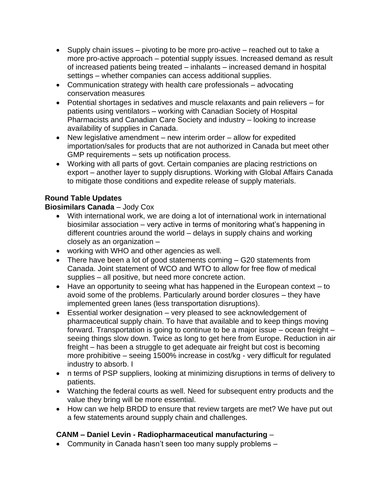- Supply chain issues pivoting to be more pro-active reached out to take a more pro-active approach – potential supply issues. Increased demand as result of increased patients being treated – inhalants – increased demand in hospital settings – whether companies can access additional supplies.
- Communication strategy with health care professionals advocating conservation measures
- Potential shortages in sedatives and muscle relaxants and pain relievers for patients using ventilators – working with Canadian Society of Hospital Pharmacists and Canadian Care Society and industry – looking to increase availability of supplies in Canada.
- New legislative amendment new interim order allow for expedited importation/sales for products that are not authorized in Canada but meet other GMP requirements – sets up notification process.
- Working with all parts of govt. Certain companies are placing restrictions on export – another layer to supply disruptions. Working with Global Affairs Canada to mitigate those conditions and expedite release of supply materials.

# **Round Table Updates**

## **Biosimilars Canada** – Jody Cox

- With international work, we are doing a lot of international work in international biosimilar association – very active in terms of monitoring what's happening in different countries around the world – delays in supply chains and working closely as an organization –
- working with WHO and other agencies as well.
- There have been a lot of good statements coming G20 statements from Canada. Joint statement of WCO and WTO to allow for free flow of medical supplies – all positive, but need more concrete action.
- Have an opportunity to seeing what has happened in the European context to avoid some of the problems. Particularly around border closures – they have implemented green lanes (less transportation disruptions).
- Essential worker designation very pleased to see acknowledgement of pharmaceutical supply chain. To have that available and to keep things moving forward. Transportation is going to continue to be a major issue – ocean freight – seeing things slow down. Twice as long to get here from Europe. Reduction in air freight – has been a struggle to get adequate air freight but cost is becoming more prohibitive – seeing 1500% increase in cost/kg - very difficult for regulated industry to absorb. I
- n terms of PSP suppliers, looking at minimizing disruptions in terms of delivery to patients.
- Watching the federal courts as well. Need for subsequent entry products and the value they bring will be more essential.
- How can we help BRDD to ensure that review targets are met? We have put out a few statements around supply chain and challenges.

# **CANM – Daniel Levin - Radiopharmaceutical manufacturing** –

• Community in Canada hasn't seen too many supply problems –